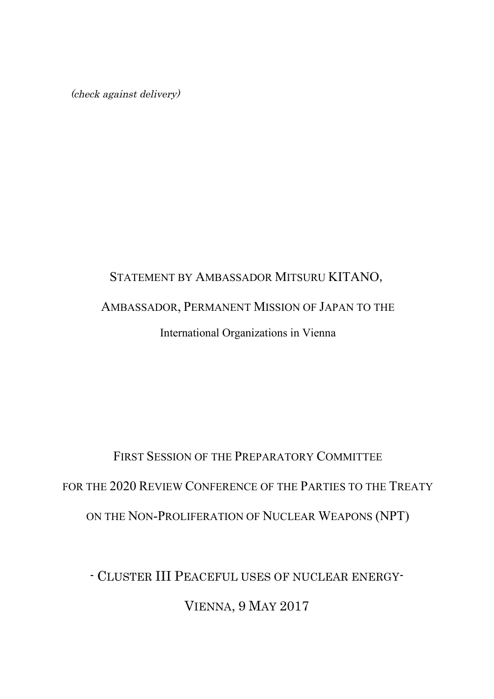(check against delivery)

## STATEMENT BY AMBASSADOR MITSURU KITANO, AMBASSADOR, PERMANENT MISSION OF JAPAN TO THE International Organizations in Vienna

# FIRST SESSION OF THE PREPARATORY COMMITTEE FOR THE 2020 REVIEW CONFERENCE OF THE PARTIES TO THE TREATY ON THE NON-PROLIFERATION OF NUCLEAR WEAPONS (NPT)

- CLUSTER III PEACEFUL USES OF NUCLEAR ENERGY-VIENNA, 9 MAY 2017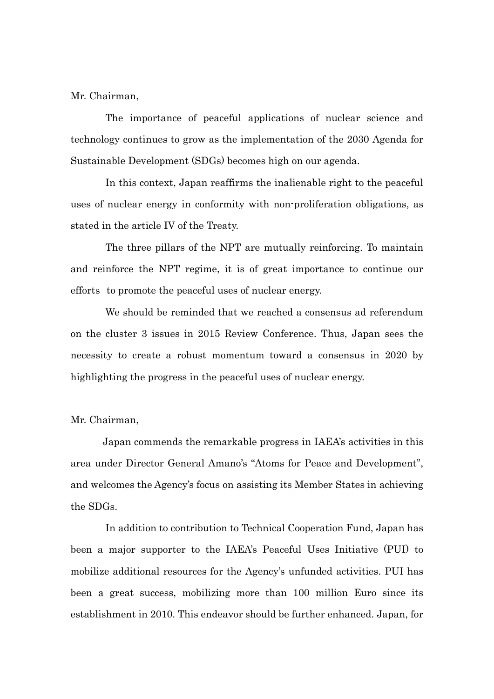Mr. Chairman,

The importance of peaceful applications of nuclear science and technology continues to grow as the implementation of the 2030 Agenda for Sustainable Development (SDGs) becomes high on our agenda.

In this context, Japan reaffirms the inalienable right to the peaceful uses of nuclear energy in conformity with non-proliferation obligations, as stated in the article IV of the Treaty.

The three pillars of the NPT are mutually reinforcing. To maintain and reinforce the NPT regime, it is of great importance to continue our efforts to promote the peaceful uses of nuclear energy.

We should be reminded that we reached a consensus ad referendum on the cluster 3 issues in 2015 Review Conference. Thus, Japan sees the necessity to create a robust momentum toward a consensus in 2020 by highlighting the progress in the peaceful uses of nuclear energy.

#### Mr. Chairman,

Japan commends the remarkable progress in IAEA's activities in this area under Director General Amano's "Atoms for Peace and Development", and welcomes the Agency's focus on assisting its Member States in achieving the SDGs.

In addition to contribution to Technical Cooperation Fund, Japan has been a major supporter to the IAEA's Peaceful Uses Initiative (PUI) to mobilize additional resources for the Agency's unfunded activities. PUI has been a great success, mobilizing more than 100 million Euro since its establishment in 2010. This endeavor should be further enhanced. Japan, for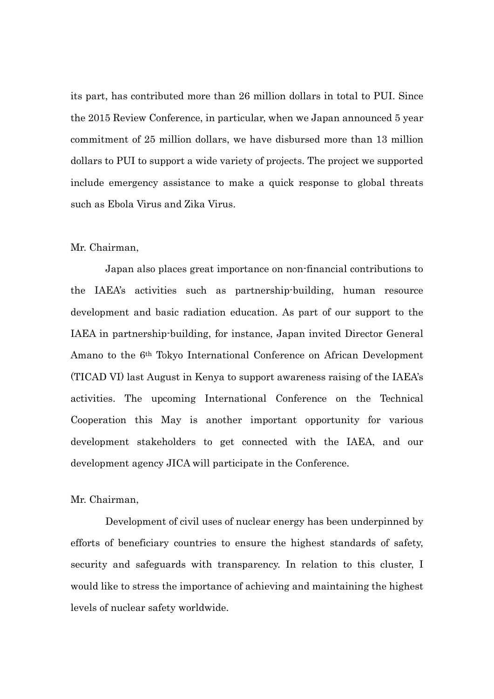its part, has contributed more than 26 million dollars in total to PUI. Since the 2015 Review Conference, in particular, when we Japan announced 5 year commitment of 25 million dollars, we have disbursed more than 13 million dollars to PUI to support a wide variety of projects. The project we supported include emergency assistance to make a quick response to global threats such as Ebola Virus and Zika Virus.

#### Mr. Chairman,

Japan also places great importance on non-financial contributions to the IAEA's activities such as partnership-building, human resource development and basic radiation education. As part of our support to the IAEA in partnership-building, for instance, Japan invited Director General Amano to the 6th Tokyo International Conference on African Development (TICAD VI) last August in Kenya to support awareness raising of the IAEA's activities. The upcoming International Conference on the Technical Cooperation this May is another important opportunity for various development stakeholders to get connected with the IAEA, and our development agency JICA will participate in the Conference.

### Mr. Chairman,

Development of civil uses of nuclear energy has been underpinned by efforts of beneficiary countries to ensure the highest standards of safety, security and safeguards with transparency. In relation to this cluster, I would like to stress the importance of achieving and maintaining the highest levels of nuclear safety worldwide.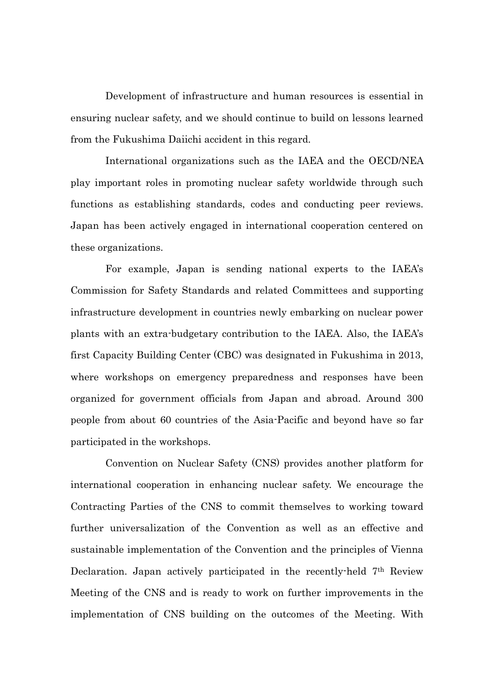Development of infrastructure and human resources is essential in ensuring nuclear safety, and we should continue to build on lessons learned from the Fukushima Daiichi accident in this regard.

International organizations such as the IAEA and the OECD/NEA play important roles in promoting nuclear safety worldwide through such functions as establishing standards, codes and conducting peer reviews. Japan has been actively engaged in international cooperation centered on these organizations.

For example, Japan is sending national experts to the IAEA's Commission for Safety Standards and related Committees and supporting infrastructure development in countries newly embarking on nuclear power plants with an extra-budgetary contribution to the IAEA. Also, the IAEA's first Capacity Building Center (CBC) was designated in Fukushima in 2013, where workshops on emergency preparedness and responses have been organized for government officials from Japan and abroad. Around 300 people from about 60 countries of the Asia-Pacific and beyond have so far participated in the workshops.

Convention on Nuclear Safety (CNS) provides another platform for international cooperation in enhancing nuclear safety. We encourage the Contracting Parties of the CNS to commit themselves to working toward further universalization of the Convention as well as an effective and sustainable implementation of the Convention and the principles of Vienna Declaration. Japan actively participated in the recently-held 7th Review Meeting of the CNS and is ready to work on further improvements in the implementation of CNS building on the outcomes of the Meeting. With